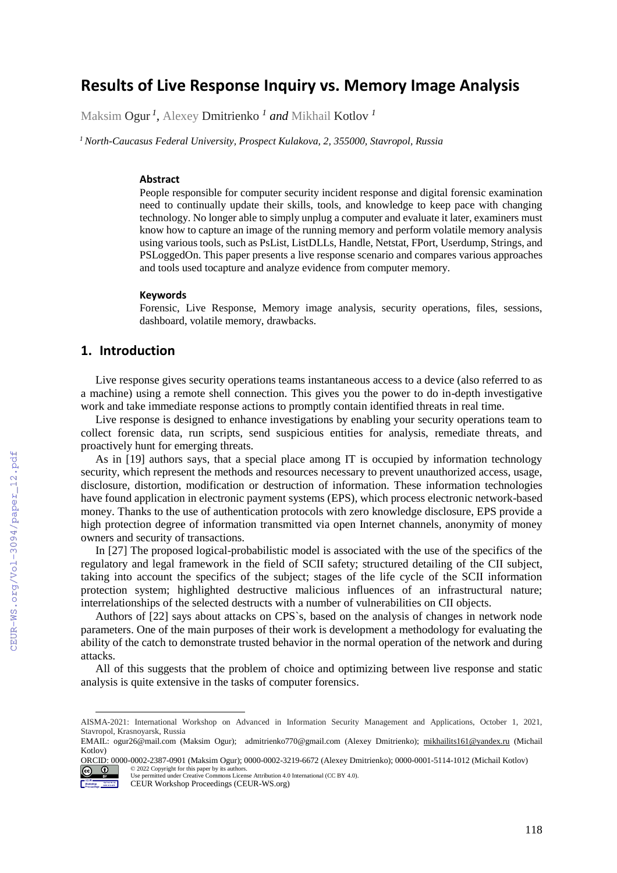# **Results of Live Response Inquiry vs. Memory Image Analysis**

Maksim Ogur *<sup>1</sup> ,* Alexey Dmitrienko *<sup>1</sup> and* Mikhail Kotlov *<sup>1</sup>*

 *<sup>1</sup> North-Caucasus Federal University, Prospect Kulakova, 2, 355000, Stavropol, Russia*

#### **Abstract**

People responsible for computer security incident response and digital forensic examination need to continually update their skills, tools, and knowledge to keep pace with changing technology. No longer able to simply unplug a computer and evaluate it later, examiners must know how to capture an image of the running memory and perform volatile memory analysis using various tools, such as PsList, ListDLLs, Handle, Netstat, FPort, Userdump, Strings, and PSLoggedOn. This paper presents a live response scenario and compares various approaches and tools used tocapture and analyze evidence from computer memory.

#### **Keywords <sup>1</sup>**

Forensic, Live Response, Memory image analysis, security operations, files, sessions, dashboard, volatile memory, drawbacks.

### **1. Introduction**

Live response gives security operations teams instantaneous access to a device (also referred to as a machine) using a remote shell connection. This gives you the power to do in-depth investigative work and take immediate response actions to promptly contain identified threats in real time.

Live response is designed to enhance investigations by enabling your security operations team to collect forensic data, run scripts, send suspicious entities for analysis, remediate threats, and proactively hunt for emerging threats.

As in [19] authors says, that a special place among IT is occupied by information technology security, which represent the methods and resources necessary to prevent unauthorized access, usage, disclosure, distortion, modification or destruction of information. These information technologies have found application in electronic payment systems (EPS), which process electronic network-based money. Thanks to the use of authentication protocols with zero knowledge disclosure, EPS provide a high protection degree of information transmitted via open Internet channels, anonymity of money owners and security of transactions.

In [27] The proposed logical-probabilistic model is associated with the use of the specifics of the regulatory and legal framework in the field of SCII safety; structured detailing of the CII subject, taking into account the specifics of the subject; stages of the life cycle of the SCII information protection system; highlighted destructive malicious influences of an infrastructural nature; interrelationships of the selected destructs with a number of vulnerabilities on CII objects.

Authors of [22] says about attacks on CPS`s, based on the analysis of changes in network node parameters. One of the main purposes of their work is development a methodology for evaluating the ability of the catch to demonstrate trusted behavior in the normal operation of the network and during attacks.

All of this suggests that the problem of choice and optimizing between live response and static analysis is quite extensive in the tasks of computer forensics.

AISMA-2021: International Workshop on Advanced in Information Security Management and Applications, October 1, 2021, Stavropol, Krasnoyarsk, Russia

EMAIL: ogur26@mail.com (Maksim Ogur); admitrienko770@gmail.com (Alexey Dmitrienko); [mikhailits161@yandex.ru](mailto:mikhailits161@yandex.ru) (Michail Kotlov)

ORCID: 0000-0002-2387-0901 (Maksim Ogur); 0000-0002-3219-6672 (Alexey Dmitrienko); 0000-0001-5114-1012 (Michail Kotlov) © 2022 Copyright for this paper by its authors.  $\circ$   $\circ$ 

Use permitted under Creative Commons License Attribution 4.0 International (CC BY 4.0). Workshop has been ap-

CEUR Workshop Proceedings (CEUR-WS.org)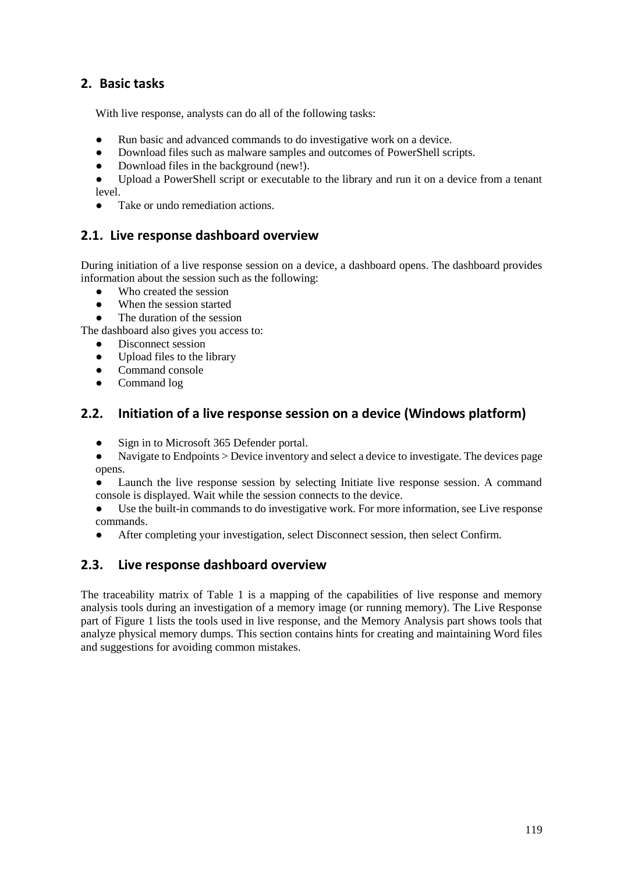# **2. Basic tasks**

With live response, analysts can do all of the following tasks:

- Run basic and advanced commands to do investigative work on a device.
- Download files such as malware samples and outcomes of PowerShell scripts.
- Download files in the background (new!).<br>• Upload a PowerShell script or executable

Upload a PowerShell script or executable to the library and run it on a device from a tenant level.

• Take or undo remediation actions.

## **2.1. Live response dashboard overview**

During initiation of a live response session on a device, a dashboard opens. The dashboard provides information about the session such as the following:

- Who created the session
- When the session started
- The duration of the session

The dashboard also gives you access to:

- Disconnect session
- Upload files to the library
- Command console
- Command log

## **2.2. Initiation of a live response session on a device (Windows platform)**

- Sign in to Microsoft 365 Defender portal.
- Navigate to Endpoints > Device inventory and select a device to investigate. The devices page opens.
- Launch the live response session by selecting Initiate live response session. A command console is displayed. Wait while the session connects to the device.

● Use the built-in commands to do investigative work. For more information, see Live response commands.

● After completing your investigation, select Disconnect session, then select Confirm.

#### **2.3. Live response dashboard overview**

The traceability matrix of Table 1 is a mapping of the capabilities of live response and memory analysis tools during an investigation of a memory image (or running memory). The Live Response part of Figure 1 lists the tools used in live response, and the Memory Analysis part shows tools that analyze physical memory dumps. This section contains hints for creating and maintaining Word files and suggestions for avoiding common mistakes.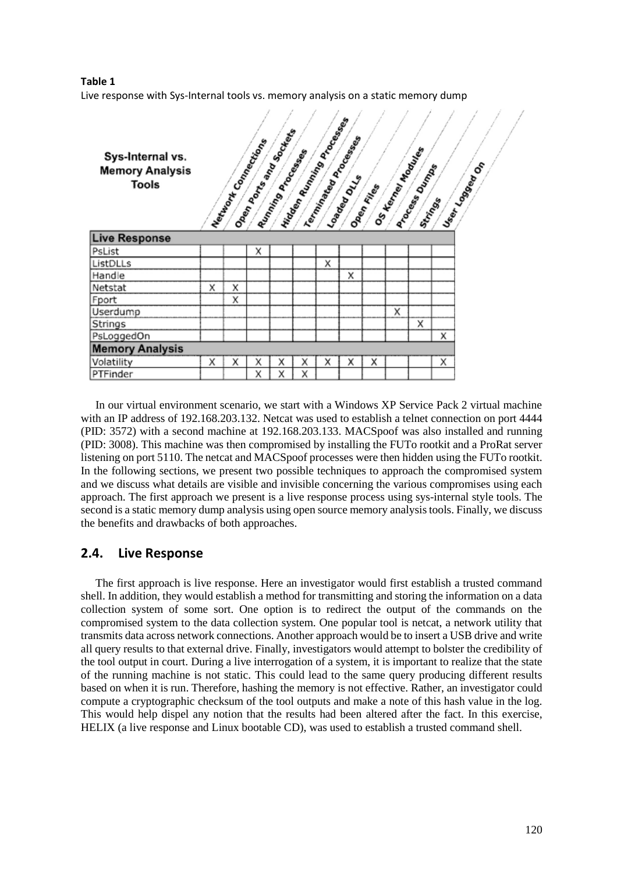# **Table 1**



In our virtual environment scenario, we start with a Windows XP Service Pack 2 virtual machine with an IP address of 192.168.203.132. Netcat was used to establish a telnet connection on port 4444 (PID: 3572) with a second machine at 192.168.203.133. MACSpoof was also installed and running (PID: 3008). This machine was then compromised by installing the FUTo rootkit and a ProRat server listening on port 5110. The netcat and MACSpoof processes were then hidden using the FUTo rootkit. In the following sections, we present two possible techniques to approach the compromised system and we discuss what details are visible and invisible concerning the various compromises using each approach. The first approach we present is a live response process using sys-internal style tools. The second is a static memory dump analysis using open source memory analysis tools. Finally, we discuss the benefits and drawbacks of both approaches.

## **2.4. Live Response**

The first approach is live response. Here an investigator would first establish a trusted command shell. In addition, they would establish a method for transmitting and storing the information on a data collection system of some sort. One option is to redirect the output of the commands on the compromised system to the data collection system. One popular tool is netcat, a network utility that transmits data across network connections. Another approach would be to insert a USB drive and write all query results to that external drive. Finally, investigators would attempt to bolster the credibility of the tool output in court. During a live interrogation of a system, it is important to realize that the state of the running machine is not static. This could lead to the same query producing different results based on when it is run. Therefore, hashing the memory is not effective. Rather, an investigator could compute a cryptographic checksum of the tool outputs and make a note of this hash value in the log. This would help dispel any notion that the results had been altered after the fact. In this exercise, HELIX (a live response and Linux bootable CD), was used to establish a trusted command shell.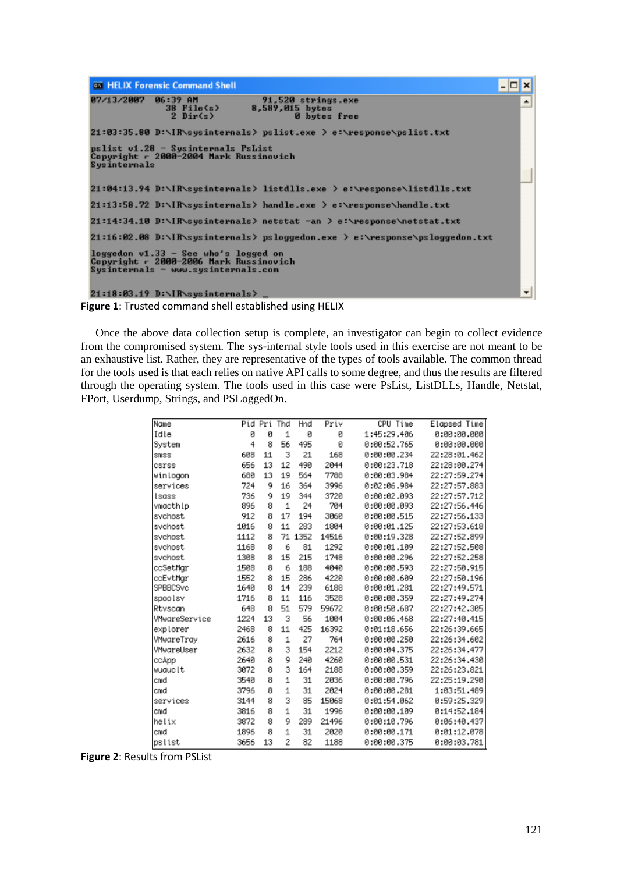

**Figure 1**: Trusted command shell established using HELIX

Once the above data collection setup is complete, an investigator can begin to collect evidence from the compromised system. The sys-internal style tools used in this exercise are not meant to be an exhaustive list. Rather, they are representative of the types of tools available. The common thread for the tools used is that each relies on native API calls to some degree, and thus the results are filtered through the operating system. The tools used in this case were PsList, ListDLLs, Handle, Netstat, FPort, Userdump, Strings, and PSLoggedOn.

| Name          | Pid Pri |    | Thd            | Hnd  | Priv  | CPU Time    | Elapsed Time |
|---------------|---------|----|----------------|------|-------|-------------|--------------|
| Idle          | ø       | ø  | 1              | ø    | ø     | 1:45:29.406 | 0:00:00.000  |
| System        | 4       | 8  | 56             | 495  | ø     | 0:00:52.765 | 0:00:00.000  |
| smss          | 608     | 11 | 3              | 21   | 168   | 0:00:00.234 | 22:28:01.462 |
| csrss         | 656     | 13 | 12             | 490  | 2044  | 0:00:23.718 | 22:28:00.274 |
| winlogon      | 680     | 13 | 19             | 564  | 7788  | 0:00:03.984 | 22:27:59.274 |
| services      | 724     | 9  | 16             | 364  | 3996  | 0:02:06.984 | 22:27:57.883 |
| Isass         | 736     | 9  | 19             | 344  | 3720  | 0:00:02.093 | 22:27:57.712 |
| vmacthlp      | 896     | 8  | 1              | 24   | 704   | 0:00:00.093 | 22:27:56.446 |
| svchost       | 912     | 8  | 17             | 194  | 3060  | 0:00:00.515 | 22:27:56.133 |
| svchost       | 1016    | 8  | 11             | 283  | 1804  | 0:00:01.125 | 22:27:53.618 |
| svchost       | 1112    | 8  | 71             | 1352 | 14516 | 0:00:19.328 | 22:27:52.899 |
| svchost       | 1168    | 8  | 6              | 81   | 1292  | 0:00:01.109 | 22:27:52.508 |
| svchost       | 1308    | 8  | 15             | 215  | 1748  | 0:00:00.296 | 22:27:52.258 |
| ccSetMgr      | 1508    | 8  | 6              | 188  | 4040  | 0:00:00.593 | 22:27:50.915 |
| ccEvtMar      | 1552    | 8  | 15             | 286  | 4220  | 0:00:00.609 | 22:27:50.196 |
| SPBBCSvc      | 1640    | 8  | 14             | 239  | 6188  | 0:00:01.281 | 22:27:49.571 |
| spoolsv       | 1716    | 8  | 11             | 116  | 3528  | 0:00:00.359 | 22:27:49.274 |
| Rtyscan       | 648     | 8  | 51             | 579  | 59672 | 0:00:50.687 | 22:27:42.305 |
| VMwareService | 1224    | 13 | 3              | 56   | 1004  | 0:00:06.468 | 22:27:40.415 |
| explorer      | 2468    | 8  | 11             | 425  | 16392 | 0:01:18.656 | 22:26:39.665 |
| VMwareTray    | 2616    | 8  | 1              | 27   | 764   | 0:00:00.250 | 22:26:34.602 |
| VMwareUser    | 2632    | 8  | 3              | 154  | 2212  | 0:00:04.375 | 22:26:34.477 |
| ccApp         | 2640    | 8  | 9              | 240  | 4260  | 0:00:00.531 | 22:26:34.430 |
| wuauclt       | 3072    | 8  | 3              | 164  | 2188  | 0:00:00.359 | 22:26:23.821 |
| cmd           | 3540    | 8  | 1              | 31   | 2036  | 0:00:00.796 | 22:25:19.290 |
| cmd           | 3796    | 8  | $\mathbf{1}$   | 31   | 2024  | 0:00:00.281 | 1:03:51.489  |
| services      | 3144    | 8  | 3              | 85   | 15068 | 0:01:54.062 | 0:59:25.329  |
| cmd           | 3816    | 8  | $\mathbf{1}$   | 31   | 1996  | 0:00:00.109 | 0:14:52.184  |
| helix         | 3872    | 8  | 9              | 289  | 21496 | 0:00:10.796 | 0:06:40.437  |
| cmd           | 1896    | 8  | 1              | 31   | 2020  | 0:00:00.171 | 0:01:12.078  |
| pslist        | 3656    | 13 | $\overline{2}$ | 82   | 1188  | 0:00:00.375 | 0:00:03.781  |

**Figure 2**: Results from PSList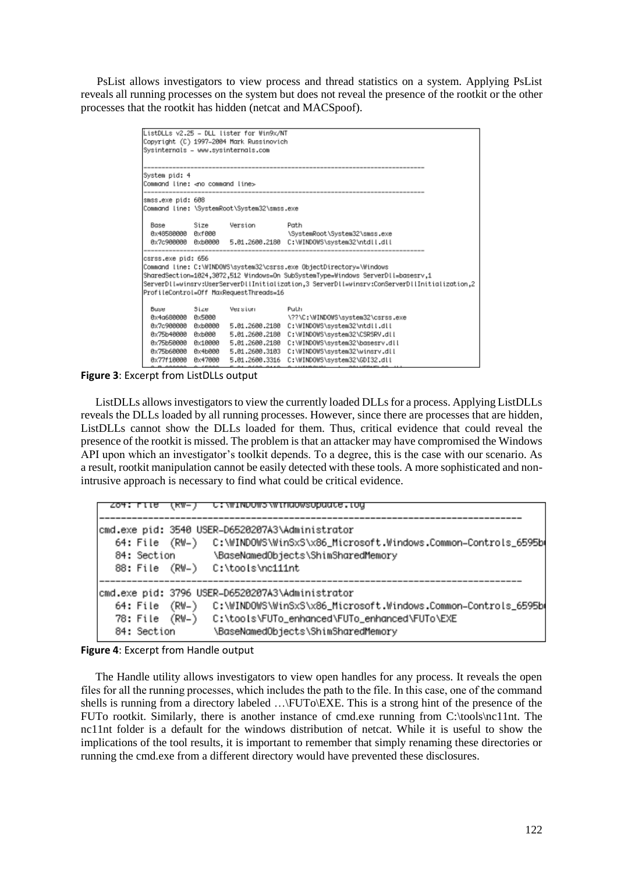PsList allows investigators to view process and thread statistics on a system. Applying PsList reveals all running processes on the system but does not reveal the presence of the rootkit or the other processes that the rootkit has hidden (netcat and MACSpoof).

| ListDLLs v2.25 - DLL lister for Win9x/NT                                                      |                                          |         |                                                                                                                                                                                                                                      |  |  |  |
|-----------------------------------------------------------------------------------------------|------------------------------------------|---------|--------------------------------------------------------------------------------------------------------------------------------------------------------------------------------------------------------------------------------------|--|--|--|
|                                                                                               | Copyright (C) 1997–2004 Mark Russinovich |         |                                                                                                                                                                                                                                      |  |  |  |
|                                                                                               | Sysinternals - www.sysinternals.com      |         |                                                                                                                                                                                                                                      |  |  |  |
|                                                                                               |                                          |         |                                                                                                                                                                                                                                      |  |  |  |
| System pid: 4                                                                                 |                                          |         |                                                                                                                                                                                                                                      |  |  |  |
|                                                                                               | Command line: ⊲no command line>          |         |                                                                                                                                                                                                                                      |  |  |  |
|                                                                                               |                                          |         |                                                                                                                                                                                                                                      |  |  |  |
|                                                                                               | lsmss.exe pid: 608                       |         |                                                                                                                                                                                                                                      |  |  |  |
| Command line: \SystemRoot\System32\smss.exe                                                   |                                          |         |                                                                                                                                                                                                                                      |  |  |  |
| Base                                                                                          | Size                                     | Version | Path                                                                                                                                                                                                                                 |  |  |  |
| 8x48588888 8xf888                                                                             |                                          |         | \SystemRoot\System32\smss.exe                                                                                                                                                                                                        |  |  |  |
|                                                                                               |                                          |         | 0x7c900000 0xb0000 5.01.2600.2180 C:\WINDOWS\system32\ntdll.dll                                                                                                                                                                      |  |  |  |
|                                                                                               |                                          |         |                                                                                                                                                                                                                                      |  |  |  |
| csrss.exe pid: 656                                                                            |                                          |         |                                                                                                                                                                                                                                      |  |  |  |
|                                                                                               |                                          |         | Command line: C:\WINDOWS\system32\csrss.exe ObjectDirectory=\Windows                                                                                                                                                                 |  |  |  |
| SharedSection=1024,3072,512 Windows=On SubSystemType=Windows ServerDll=basesrv.1              |                                          |         |                                                                                                                                                                                                                                      |  |  |  |
| 2, ServerDll=winsrv:UserServerDllInitialization,3 ServerDll=winsrv:ConServerDllInitialization |                                          |         |                                                                                                                                                                                                                                      |  |  |  |
| ProfileControl=Off MaxRequestThreads=16                                                       |                                          |         |                                                                                                                                                                                                                                      |  |  |  |
| Busse                                                                                         | Size                                     | Version | Puth                                                                                                                                                                                                                                 |  |  |  |
| 0x4g680000 0x5000                                                                             |                                          |         | \??\C:\WINDOWS\system32\csrss.exe                                                                                                                                                                                                    |  |  |  |
| Өх7с900000                                                                                    | 0xb0000                                  |         | 5.01.2600.2180 C:\WINDOWS\system32\ntdll.dll                                                                                                                                                                                         |  |  |  |
|                                                                                               |                                          |         | 0x75b40000 0xb000    5.01.2600.2180    C:\WINDOWS\system32\CSRSRV.dll                                                                                                                                                                |  |  |  |
|                                                                                               |                                          |         | 0x75b50000 0x10000 5.01.2600.2180 C:\WINDOWS\system32\basesrv.dll                                                                                                                                                                    |  |  |  |
| 0x75b60000                                                                                    |                                          |         | 0x4b000 5.01.2600.3103 C:\WINDOWS\system32\winsrv.dll                                                                                                                                                                                |  |  |  |
| 0x77f10000                                                                                    | 0x47000                                  |         | 5.01.2600.3316 C:\WINDOWS\system32\GDI32.dll                                                                                                                                                                                         |  |  |  |
| o o cococo o cococ                                                                            |                                          |         | <b>PERMIT AND AN ARTICLE AND ARREST AND ARREST AND ARREST OF A CONTRACT AND ARREST OF A CONTRACT OF A CONTRACT OF A CONTRACT OF A CONTRACT OF A CONTRACT OF A CONTRACT OF A CONTRACT OF A CONTRACT OF A CONTRACT OF A CONTRACT O</b> |  |  |  |

**Figure 3**: Excerpt from ListDLLs output

ListDLLs allows investigators to view the currently loaded DLLs for a process. Applying ListDLLs reveals the DLLs loaded by all running processes. However, since there are processes that are hidden, ListDLLs cannot show the DLLs loaded for them. Thus, critical evidence that could reveal the presence of the rootkit is missed. The problem is that an attacker may have compromised the Windows API upon which an investigator's toolkit depends. To a degree, this is the case with our scenario. As a result, rootkit manipulation cannot be easily detected with these tools. A more sophisticated and nonintrusive approach is necessary to find what could be critical evidence.

| 204: LIB           | (KW-) | C:\WINDOWS\WINdowsopdate.tog                                                                                                     |
|--------------------|-------|----------------------------------------------------------------------------------------------------------------------------------|
|                    |       | cmd.exe pid: 3540 USER-D6520207A3\Administrator<br>64: File (RW-) C:\WINDOWS\WinSxS\x86_Microsoft.Windows.Common-Controls_6595b( |
| 84: Section        |       | \BaseNamedObjects\ShimSharedMemory                                                                                               |
|                    |       | 88: File (RW-) C:\tools\nc111nt                                                                                                  |
|                    |       | cmd.exe pid: 3796 USER-D6520207A3\Administrator                                                                                  |
| $64:$ File $(RW-)$ |       | C:\WINDOWS\WinSxS\x86_Microsoft.Windows.Common-Controls_6595b                                                                    |
| 78: File (RW-)     |       | C:\tools\FUTo_enhanced\FUTo_enhanced\FUTo\EXE                                                                                    |
| 84: Section        |       | \BaseNamedObjects\ShimSharedMemory                                                                                               |

#### **Figure 4**: Excerpt from Handle output

The Handle utility allows investigators to view open handles for any process. It reveals the open files for all the running processes, which includes the path to the file. In this case, one of the сommand shells is running from a directory labeled …\FUTo\EXE. This is a strong hint of the presence of the FUTo rootkit. Similarly, there is another instance of cmd.exe running from C:\tools\nc11nt. The nc11nt folder is a default for the windows distribution of netcat. While it is useful to show the implications of the tool results, it is important to remember that simply renaming these directories or running the cmd.exe from a different directory would have prevented these disclosures.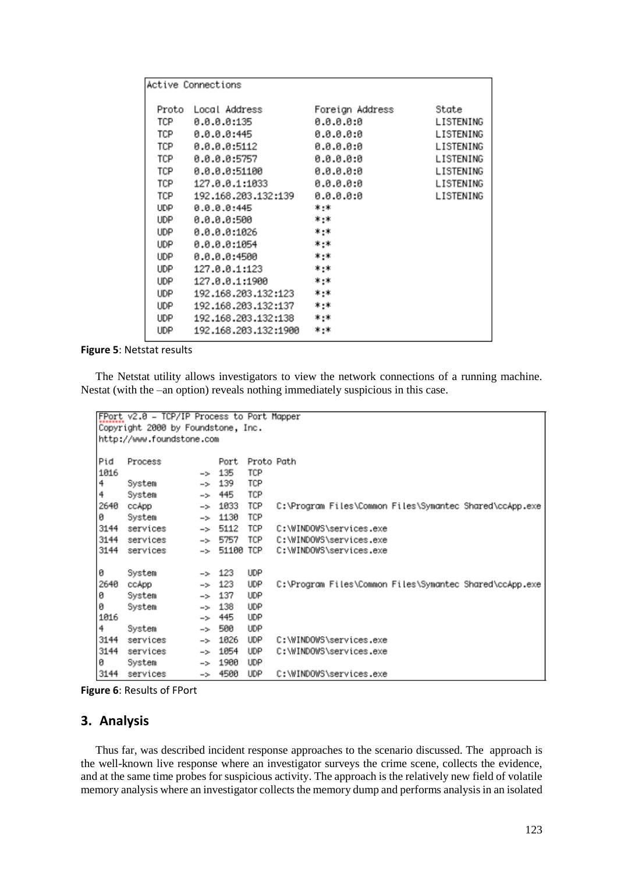| Active Connections |                          |                 |           |  |  |  |
|--------------------|--------------------------|-----------------|-----------|--|--|--|
| Proto              | Local Address            | Foreign Address | State     |  |  |  |
| TCP                | 0.0.0.0:135              | 0.0.0.0:0       | LISTENING |  |  |  |
| TCP                | 0.0.0.0:445              | 0.0.0.0:0       | LISTENING |  |  |  |
| TCP                | 8.8.8.8:5112             | 8.8.8.8.8       | LISTENING |  |  |  |
| TCP                | 0.0.0.0:5757             | 0.0.0.0.0       | LISTENING |  |  |  |
| TCP                | 0.0.0.0:51100            | 0.0.0.0.0       | LISTENING |  |  |  |
| TCP                | 127.0.0.1:1033           | 0.0.0.0:0       | LISTENING |  |  |  |
| TCP                | 192.168.203.132:139      | 0.0.0.0:0       | LISTENING |  |  |  |
| <b>UDP</b>         | 0.0.0.0:445              | * *             |           |  |  |  |
| <b>UDP</b>         | 0.0.0.0:500              | * *             |           |  |  |  |
| <b>UDP</b>         | 0.0.0.0:1026             | * *             |           |  |  |  |
| <b>UDP</b>         | 0.0.0.0:1054             | $* - *$         |           |  |  |  |
| <b>UDP</b>         | 0.0.0.0:4500             | * *             |           |  |  |  |
| <b>UDP</b>         | 127.0.0.1:123            | * *             |           |  |  |  |
| <b>UDP</b>         | 127.0.0.1:1900           | * *             |           |  |  |  |
| <b>UDP</b>         | 192.168.203.132:123      | * *             |           |  |  |  |
| <b>UDP</b>         | 192.168.203.132:137      | * *             |           |  |  |  |
| <b>UDP</b>         | 192.168.203.132:138      | * *             |           |  |  |  |
| <b>UDP</b>         | 192, 168, 203, 132: 1900 | * *             |           |  |  |  |

**Figure 5**: Netstat results

The Netstat utility allows investigators to view the network connections of a running machine. Nestat (with the –an option) reveals nothing immediately suspicious in this case.

```
FPort v2.0 - TCP/IP Process to Port Mapper
Copyright 2000 by Foundstone, Inc.
http://www.foundstone.com
Pid
      Process
                             Port Proto Path
                        \rightarrow 135
1016
                                    TCP
       System
                        \rightarrow 139
                                    TCP
4
\overline{4}System
                         \Rightarrow 445
                                    TCP
2640 ссАрр
                         \rightarrow 1033
                                    TCP
                                            C:\Program Files\Common Files\Symantec Shared\ccApp.exe
ø
       System
                         \rightarrow 1130
                                    TCP
3144 services
                         \Rightarrow 5112
                                    TCP
                                            C:\WINDOWS\services.exe
                         -> 5757TCP
3144 services
                                            C:\WINDOWS\services.exe
                                            C:\WINDOWS\services.exe
3144 services
                         -> 51100 TCP
0
       System
                         \rightarrow 123
                                    UDP
2640 ccApp
                         \rightarrow 123
                                            C:\Program Files\Common Files\Symantec Shared\ccApp.exe
                                    UDP
                        \rightarrow 137
Ø
                                    UDP
       System
Й
                        \rightarrow 138
                                    UDP
       System
1016
                             445
                                    UDP
                         \rightarrow500
                                    UDP
4
       System
                         \rightarrow3144 services
                             1026
                                    UDP
                                            C:\WINDOWS\services.exe
                         \Rightarrow3144
      services
                             1054
                                    UDP
                                            C:\WINDOWS\services.exe
                         \rightarrowЙ
       System
                             1900
                                    HDP
                         \rightarrow4500
                                    UDP
3144 services
                                            C:\WINDOWS\services.exe
                         \rightarrow
```
**Figure 6**: Results of FPort

#### **3. Analysis**

Thus far, was described incident response approaches to the scenario discussed. The approach is the well-known live response where an investigator surveys the crime scene, collects the evidence, and at the same time probes for suspicious activity. The approach is the relatively new field of volatile memory analysis where an investigator collects the memory dump and performs analysis in an isolated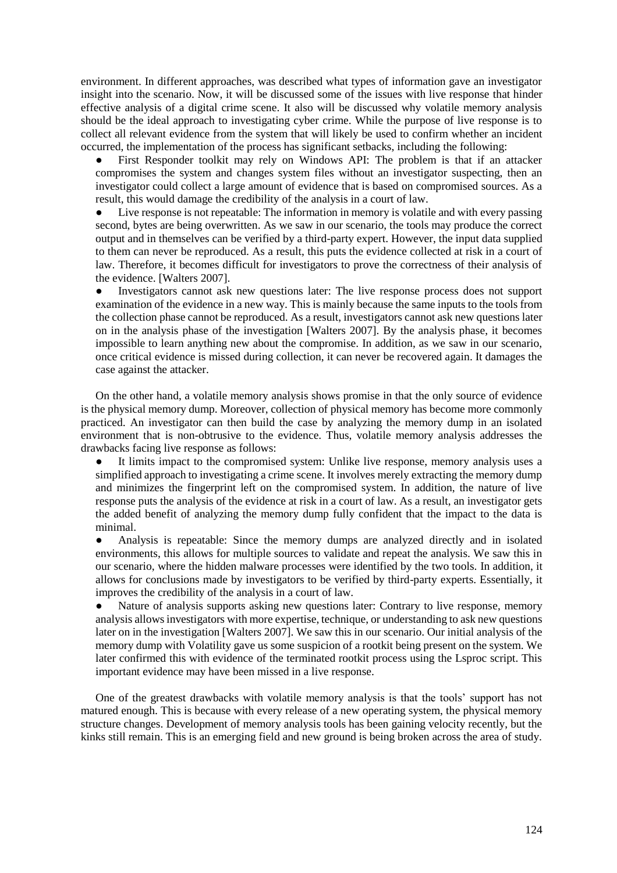environment. In different approaches, was described what types of information gave an investigator insight into the scenario. Now, it will be discussed some of the issues with live response that hinder effective analysis of a digital crime scene. It also will be discussed why volatile memory analysis should be the ideal approach to investigating cyber crime. While the purpose of live response is to collect all relevant evidence from the system that will likely be used to confirm whether an incident occurred, the implementation of the process has significant setbacks, including the following:

First Responder toolkit may rely on Windows API: The problem is that if an attacker compromises the system and changes system files without an investigator suspecting, then an investigator could collect a large amount of evidence that is based on compromised sources. As a result, this would damage the credibility of the analysis in a court of law.

Live response is not repeatable: The information in memory is volatile and with every passing second, bytes are being overwritten. As we saw in our scenario, the tools may produce the correct output and in themselves can be verified by a third-party expert. However, the input data supplied to them can never be reproduced. As a result, this puts the evidence collected at risk in a court of law. Therefore, it becomes difficult for investigators to prove the correctness of their analysis of the evidence. [Walters 2007].

● Investigators cannot ask new questions later: The live response process does not support examination of the evidence in a new way. This is mainly because the same inputs to the tools from the collection phase cannot be reproduced. As a result, investigators cannot ask new questions later on in the analysis phase of the investigation [Walters 2007]. By the analysis phase, it becomes impossible to learn anything new about the compromise. In addition, as we saw in our scenario, once critical evidence is missed during collection, it can never be recovered again. It damages the case against the attacker.

On the other hand, a volatile memory analysis shows promise in that the only source of evidence is the physical memory dump. Moreover, collection of physical memory has become more commonly practiced. An investigator can then build the case by analyzing the memory dump in an isolated environment that is non-obtrusive to the evidence. Thus, volatile memory analysis addresses the drawbacks facing live response as follows:

It limits impact to the compromised system: Unlike live response, memory analysis uses a simplified approach to investigating a crime scene. It involves merely extracting the memory dump and minimizes the fingerprint left on the compromised system. In addition, the nature of live response puts the analysis of the evidence at risk in a court of law. As a result, an investigator gets the added benefit of analyzing the memory dump fully confident that the impact to the data is minimal.

Analysis is repeatable: Since the memory dumps are analyzed directly and in isolated environments, this allows for multiple sources to validate and repeat the analysis. We saw this in our scenario, where the hidden malware processes were identified by the two tools. In addition, it allows for conclusions made by investigators to be verified by third-party experts. Essentially, it improves the credibility of the analysis in a court of law.

Nature of analysis supports asking new questions later: Contrary to live response, memory analysis allows investigators with more expertise, technique, or understanding to ask new questions later on in the investigation [Walters 2007]. We saw this in our scenario. Our initial analysis of the memory dump with Volatility gave us some suspicion of a rootkit being present on the system. We later confirmed this with evidence of the terminated rootkit process using the Lsproc script. This important evidence may have been missed in a live response.

One of the greatest drawbacks with volatile memory analysis is that the tools' support has not matured enough. This is because with every release of a new operating system, the physical memory structure changes. Development of memory analysis tools has been gaining velocity recently, but the kinks still remain. This is an emerging field and new ground is being broken across the area of study.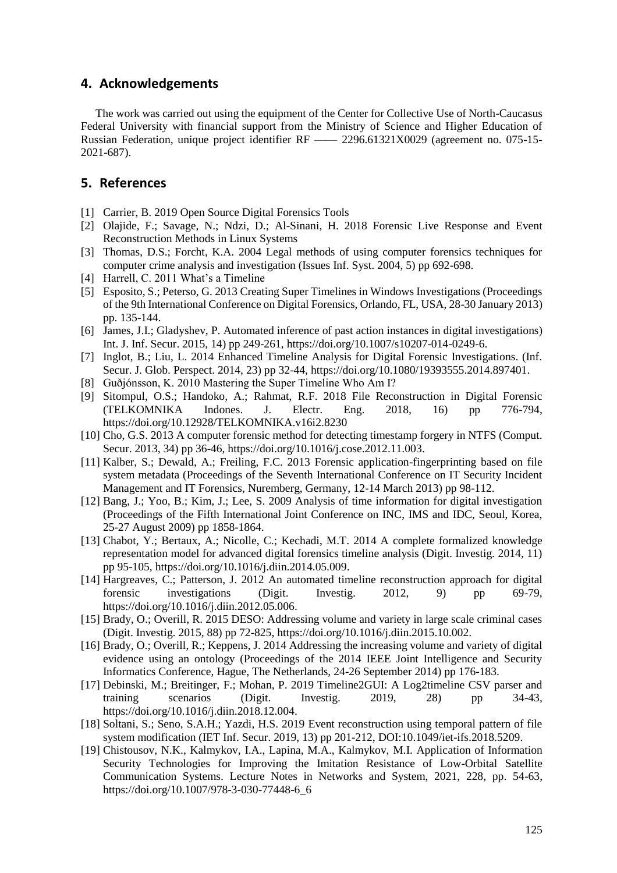#### **4. Acknowledgements**

The work was carried out using the equipment of the Center for Collective Use of North-Caucasus Federal University with financial support from the Ministry of Science and Higher Education of Russian Federation, unique project identifier RF —— 2296.61321X0029 (agreement no. 075-15- 2021-687).

#### **5. References**

- [1] Carrier, B. 2019 Open Source Digital Forensics Tools
- [2] Olajide, F.; Savage, N.; Ndzi, D.; Al-Sinani, H. 2018 Forensic Live Response and Event Reconstruction Methods in Linux Systems
- [3] Thomas, D.S.; Forcht, K.A. 2004 Legal methods of using computer forensics techniques for computer crime analysis and investigation (Issues Inf. Syst. 2004, 5) pp 692-698.
- [4] Harrell, C. 2011 What's a Timeline
- [5] Esposito, S.; Peterso, G. 2013 Creating Super Timelines in Windows Investigations (Proceedings of the 9th International Conference on Digital Forensics, Orlando, FL, USA, 28-30 January 2013) pp. 135-144.
- [6] James, J.I.; Gladyshev, P. Automated inference of past action instances in digital investigations) Int. J. Inf. Secur. 2015, 14) pp 249-261, https://doi.org/10.1007/s10207-014-0249-6.
- [7] Inglot, B.; Liu, L. 2014 Enhanced Timeline Analysis for Digital Forensic Investigations. (Inf. Secur. J. Glob. Perspect. 2014, 23) pp 32-44, https://doi.org/10.1080/19393555.2014.897401.
- [8] Guðjónsson, K. 2010 Mastering the Super Timeline Who Am I?
- [9] Sitompul, O.S.; Handoko, A.; Rahmat, R.F. 2018 File Reconstruction in Digital Forensic (TELKOMNIKA Indones. J. Electr. Eng. 2018, 16) pp 776-794, https://doi.org/10.12928/TELKOMNIKA.v16i2.8230
- [10] Cho, G.S. 2013 A computer forensic method for detecting timestamp forgery in NTFS (Comput. Secur. 2013, 34) pp 36-46, https://doi.org/10.1016/j.cose.2012.11.003.
- [11] Kalber, S.; Dewald, A.; Freiling, F.C. 2013 Forensic application-fingerprinting based on file system metadata (Proceedings of the Seventh International Conference on IT Security Incident Management and IT Forensics, Nuremberg, Germany, 12-14 March 2013) pp 98-112.
- [12] Bang, J.; Yoo, B.; Kim, J.; Lee, S. 2009 Analysis of time information for digital investigation (Proceedings of the Fifth International Joint Conference on INC, IMS and IDC, Seoul, Korea, 25-27 August 2009) pp 1858-1864.
- [13] Chabot, Y.; Bertaux, A.; Nicolle, C.; Kechadi, M.T. 2014 A complete formalized knowledge representation model for advanced digital forensics timeline analysis (Digit. Investig. 2014, 11) pp 95-105, https://doi.org/10.1016/j.diin.2014.05.009.
- [14] Hargreaves, C.; Patterson, J. 2012 An automated timeline reconstruction approach for digital forensic investigations (Digit. Investig. 2012, 9) pp 69-79, https://doi.org/10.1016/j.diin.2012.05.006.
- [15] Brady, O.; Overill, R. 2015 DESO: Addressing volume and variety in large scale criminal cases (Digit. Investig. 2015, 88) pp 72-825, https://doi.org/10.1016/j.diin.2015.10.002.
- [16] Brady, O.; Overill, R.; Keppens, J. 2014 Addressing the increasing volume and variety of digital evidence using an ontology (Proceedings of the 2014 IEEE Joint Intelligence and Security Informatics Conference, Hague, The Netherlands, 24-26 September 2014) pp 176-183.
- [17] Debinski, M.; Breitinger, F.; Mohan, P. 2019 Timeline2GUI: A Log2timeline CSV parser and training scenarios (Digit. Investig. 2019, 28) pp 34-43, https://doi.org/10.1016/j.diin.2018.12.004.
- [18] Soltani, S.; Seno, S.A.H.; Yazdi, H.S. 2019 Event reconstruction using temporal pattern of file system modification (IET Inf. Secur. 2019, 13) pp 201-212, DOI:10.1049/iet-ifs.2018.5209.
- [19] Chistousov, N.K., Kalmykov, I.A., Lapina, M.A., Kalmykov, M.I. Application of Information Security Technologies for Improving the Imitation Resistance of Low-Orbital Satellite Communication Systems. Lecture Notes in Networks and System, 2021, 228, pp. 54-63, [https://doi.org/10.1007/978-3-030-77448-6\\_6](https://doi.org/10.1007/978-3-030-77448-6_6)